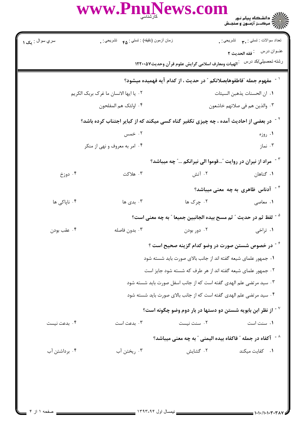WWW.PnuNews.com

| زمان أزمون (دقيقه) : تستى : هم     تشريحي : .                                                      |                                                                                 | تعداد سوالات : تستبي : ٣ <b>. س</b> تشريحي : .                                                   |  |  |  |
|----------------------------------------------------------------------------------------------------|---------------------------------------------------------------------------------|--------------------------------------------------------------------------------------------------|--|--|--|
|                                                                                                    |                                                                                 | عنوان درس : فقه الحديث ٢                                                                         |  |  |  |
|                                                                                                    | رشته تحصيلي/كد درس عجالهيات ومعارف اسلامى گرايش علوم قرآن وحديث١٢٢٠٠٥٧          |                                                                                                  |  |  |  |
|                                                                                                    | <sup>\ -</sup> مفهوم جمله ″فاطفوهابصلاتكم ″ در حديث ، از كدام آيه فهميده ميشود؟ |                                                                                                  |  |  |  |
| ٢٠. يا ايها الانسان ما غرک بربک الکريم                                                             |                                                                                 | ٠١. ان الحسنات يذهبن السيئات                                                                     |  |  |  |
| ۰۴ اولئک هم المفلحون                                                                               |                                                                                 | ٠٣ والذين هم في صلاتهم خاشعون                                                                    |  |  |  |
| <sup>۲ -</sup> در بعضی از احادیث آمده ، چه چیزی تکفیر گناه کسی میکند که از کبایر اجتناب کرده باشد؟ |                                                                                 |                                                                                                  |  |  |  |
| ۰۲ خمس                                                                                             |                                                                                 | ۰۱ روزه                                                                                          |  |  |  |
| ۰۴ امر به معروف و نهی از منکر                                                                      |                                                                                 | ۰۳ نماز                                                                                          |  |  |  |
|                                                                                                    | <sup>۳ -</sup> ً مراد از نیران در روایت "قوموا الی نیرانکم " چه میباشد؟         |                                                                                                  |  |  |  |
| ۰۳ هلاکت                                                                                           | ۰۲ آتش                                                                          | ۰۱ گناهان                                                                                        |  |  |  |
|                                                                                                    |                                                                                 | $^{\circ}$ آدناس ظاهری به چه معنی میباشد $^{\circ}$                                              |  |  |  |
| ۰۳ بدی ها                                                                                          | ۰۲ چرک ها                                                                       | ۰۱ معاصی                                                                                         |  |  |  |
|                                                                                                    | <sup>ه -</sup> لفظ ثم در حديث " ثم مسح بيده الجانبين جميعا " به چه معنى است؟    |                                                                                                  |  |  |  |
| ۰۳ بدون فاصله                                                                                      | ۰۲ دور بودن                                                                     | ۰۱ تراخی                                                                                         |  |  |  |
|                                                                                                    | <sup>۶ -</sup> در خصوص شستن صورت در وضو کدام گزینه صحیح است ؟                   |                                                                                                  |  |  |  |
|                                                                                                    | ۰۱ جمهور علمای شیعه گفته اند از جانب بالای صورت باید شسته شود                   |                                                                                                  |  |  |  |
|                                                                                                    | ۰۲ جمهور علمای شیعه گفته اند از هر طرف که شسته شود جایز است                     |                                                                                                  |  |  |  |
|                                                                                                    | ۰۳ سید مرتضی علم الهدی گفته است که از جانب اسفل صورت باید شسته شود              |                                                                                                  |  |  |  |
|                                                                                                    | ۰۴ سید مرتضی علم الهدی گفته است که از جانب بالای صورت باید شسته شود             |                                                                                                  |  |  |  |
|                                                                                                    | از نظر ابن بابویه شستن دو دستها در بار دوم وضو چگونه است؟ "                     |                                                                                                  |  |  |  |
| ۰۳ بدعت است                                                                                        | ٠٢ سنت نيست                                                                     | ۰۱ سنت است                                                                                       |  |  |  |
|                                                                                                    |                                                                                 |                                                                                                  |  |  |  |
| ۰۳ ریختن آب                                                                                        | ۰۲ گشایش                                                                        | ٠١. كفايت ميكند                                                                                  |  |  |  |
|                                                                                                    |                                                                                 | $^{\circ}$ اً كفاه در جمله $^{\circ}$ فاكفاه بيده اليمنى $^{\circ}$ به چه معنى ميباشد $^{\circ}$ |  |  |  |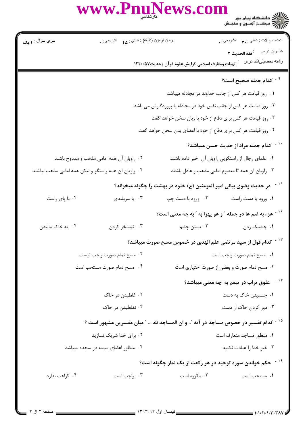WWW.PnuNews.com

| سري سوال : <b>۱ يک</b>                                         |                                                                           |                      | زمان أزمون (دقيقه) : تستى : <sub>۴۵</sub> تشريحي : . |                           | تعداد سوالات : تستبي : ٣ <b>. س</b> تشريحي : <sub>.</sub>                                      |
|----------------------------------------------------------------|---------------------------------------------------------------------------|----------------------|------------------------------------------------------|---------------------------|------------------------------------------------------------------------------------------------|
|                                                                |                                                                           |                      |                                                      |                           |                                                                                                |
|                                                                |                                                                           |                      |                                                      |                           |                                                                                                |
|                                                                |                                                                           |                      |                                                      |                           | <sup>۹ -</sup> کدام جمله صحیح است؟                                                             |
|                                                                |                                                                           |                      |                                                      |                           | ۰۱ روز قیامت هر کس از جانب خداوند در مجادله میباشد                                             |
|                                                                | ۰۲ روز قیامت هر کس از جانب نفس خود در مجادله با پروردگارش می باشد.        |                      |                                                      |                           |                                                                                                |
|                                                                | ۰۳ روز قیامت هر کس برای دفاع از خود با زبان سخن خواهد گفت                 |                      |                                                      |                           |                                                                                                |
| ۰۴ روز قیامت هر کس برای دفاع از خود با اعضای بدن سخن خواهد گفت |                                                                           |                      |                                                      |                           |                                                                                                |
|                                                                |                                                                           |                      |                                                      |                           | <sup>۱۰ -</sup> کدام جمله مراد از حدیث حسن میباشد؟                                             |
| ۰۲ راویان آن همه امامی مذهب و ممدوح باشند                      |                                                                           |                      |                                                      |                           | ۰۱ علمای رجال از راستگویی راویان آن خبر داده باشند                                             |
| ۰۴ راویان آن همه راستگو و لیکن همه امامی مذهب نباشند           |                                                                           |                      |                                                      |                           | ۰۳ راویان آن همه تا معصوم امامی مذهب و عادل باشند                                              |
|                                                                |                                                                           |                      |                                                      |                           | ٔ ` ` در حدیث وضوی بیانی امیر المومنین (ع) خلود در بهشت را چگونه میخواند؟                      |
| ۰۴ با پای راست                                                 |                                                                           | ۰۳ با سربلندی        |                                                      | ۰۲ ورود با دست چپ         | ٠١ ورود با دست راست                                                                            |
|                                                                |                                                                           |                      |                                                      |                           | <sup>۱۲ -</sup> هزء به ضم ها در جمله ″ و هو يهزا به ″ به چه معنی است؟                          |
| ۰۴ به خاک مالیدن                                               |                                                                           | ۰۳ تمسخر کردن        |                                                      | ۲. بستن چشم               | ۰۱ چشمک زدن                                                                                    |
|                                                                |                                                                           |                      |                                                      |                           | كدام قول از سيد مرتضى علم الهدى در خصوص مسح صورت ميباشد؟                                       |
|                                                                | ۰۲ مسح تمام صورت واجب نیست                                                |                      | ٠١ مسح تمام صورت واجب است                            |                           |                                                                                                |
|                                                                | ۰۳ مسح تمام صورت و بعضی از صورت اختیاری است<br>۰۴ مسح تمام صورت مستحب است |                      |                                                      |                           |                                                                                                |
|                                                                |                                                                           |                      |                                                      |                           | <sup>۱۴ -</sup> علوق تراب در تیمم به چه معنی میباشد؟                                           |
| ۰۲ غلطیدن در خاک                                               |                                                                           | ۰۱ چسبیدن خاک به دست |                                                      |                           |                                                                                                |
|                                                                |                                                                           | ۰۴ نغلطیدن در خاک    |                                                      | ۰۳ دور کردن خاک از دست    |                                                                                                |
|                                                                |                                                                           |                      |                                                      |                           | <sup>۱۵ -</sup> کدام تفسیر در خصوص مساجد در آیه ؒ و ان المساجد لله … ؒ میان مفسرین مشهور است ؟ |
|                                                                | ۰۲ برای خدا شریک نسازید                                                   |                      |                                                      | ۰۱ منظور مساجد متعارف است |                                                                                                |
| ۰۴ منظور اعضای سبعه در سجده میباشد                             |                                                                           |                      |                                                      |                           | ۰۳ غیر خدا را عبادت نکنید                                                                      |
|                                                                |                                                                           |                      |                                                      |                           | <sup>۱۶ -</sup> حکم خواندن سوره توحید در هر رکعت از یک نماز چگونه است؟                         |
| ۰۴ کراهت ندارد                                                 |                                                                           | ۰۳ واجب است          |                                                      | ۰۲ مکروه است              | ۰۱ مستحب است                                                                                   |
|                                                                |                                                                           |                      |                                                      |                           |                                                                                                |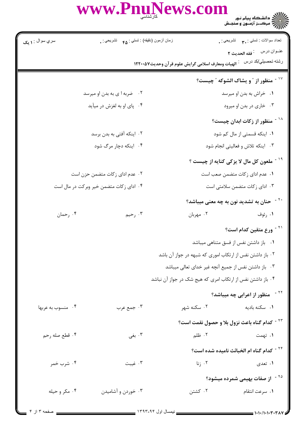WWW.PnuNews.com

| سري سوال : ۱ يک            | زمان أزمون (دقيقه) : تستى : <sub>۴۵</sub> تشريحي : <sub>.</sub> |                                                   | تعداد سوالات : تستي : ٣. سمب     تشريحي : .                |  |
|----------------------------|-----------------------------------------------------------------|---------------------------------------------------|------------------------------------------------------------|--|
|                            |                                                                 |                                                   |                                                            |  |
|                            |                                                                 | الهيات ومعارف اسلامي گرايش علوم قرآن وحديث١٢٢٠٠٥٧ | رشته تحصيلي/كد درس                                         |  |
|                            |                                                                 |                                                   | <sup>17</sup> منظور از ″و یشاک الشوکه ″چیست؟               |  |
|                            | ۰۲ ضربه ا ی به بدن او میرسد                                     |                                                   | ۰۱ خراش به بدن او میرسد                                    |  |
| ۰۴ پای او به لغزش در میآید |                                                                 |                                                   | ۰۳ خاری در بدن او میرود                                    |  |
|                            |                                                                 |                                                   | <sup>۱۸ -</sup> منظور از زکات ابدان چیست؟                  |  |
| ۰۲ اینکه آفتی به بدن برسد  |                                                                 |                                                   | ۰۱ اینکه قسمتی از مال کم شود                               |  |
| ۰۴ اینکه دچار مرگ شود      |                                                                 | ۰۳ اینکه تلاش و فعالیتی انجام شود                 |                                                            |  |
|                            |                                                                 |                                                   | <sup>۱۹ -</sup> ملعون کل مال لا یزکی کنایه از چیست ؟       |  |
|                            | ۰۲ عدم ادای زکات متضمن حزن است                                  |                                                   | ٠١ عدم اداى زكات متضمن صعب است                             |  |
|                            | ۰۴ ادای زکات متضمن خیر وبرکت در مال است                         |                                                   | ۰۳ ادای زکات متضمن سلامتی است                              |  |
|                            |                                                                 |                                                   | <sup>۲۰ -</sup> حنان به تشدید نون به چه معنی میباشد؟       |  |
| ۰۴ رحمان                   | ۰۳ رحیم                                                         | ۰۲ مهربان                                         | ۰۱ رئوف                                                    |  |
|                            |                                                                 |                                                   | <sup>۲۱ -</sup> ورع متقین کدام است؟                        |  |
|                            |                                                                 |                                                   | ۰۱ باز داشتن نفس از فسق متناهی میباشد                      |  |
|                            |                                                                 |                                                   | ٠٢ باز داشتن نفس از ارتكاب امورى كه شبهه در جواز آن باشد   |  |
|                            | ۰۳ باز داشتن نفس از جمیع آنچه غیر خدای تعالی میباشد             |                                                   |                                                            |  |
|                            |                                                                 |                                                   | ۰۴ باز داشتن نفس از ارتکاب امری که هیج شک در جواز آن نباشد |  |
|                            |                                                                 |                                                   | <sup>۲۲ -</sup> منظور از اعرابی چه میباشد؟                 |  |
| ۰۴ منسوب به عربها          | ۰۳ جمع عرب                                                      | ۰۲ سکنه شهر                                       | ۰۱ سکنه بادیه                                              |  |
|                            |                                                                 |                                                   | <sup>۲۳ -</sup> کدام گناه باعث نزول بلا و حصول نقمت است؟   |  |
| ۰۴ قطع صله رحم             | ۰۳ بغی                                                          | ٢. ظلم                                            | ۱. تهمت                                                    |  |
|                            |                                                                 |                                                   | <sup>۲۴ -</sup> کدام گناه ام الخبائث نامیده شده است؟       |  |
| ۰۴ شرب خمر                 | ۰۳ غیبت                                                         | ۰۲ زنا                                            | ۱. تعدی                                                    |  |
|                            |                                                                 |                                                   | <sup>۲۵ -</sup> از صفات بهیمی شمرده میشود؟                 |  |
| ۰۴ مکر و حیله              | ۰۳ خوردن و آشامیدن                                              | ۰۲ کشتن                                           | ٠١ سرعت انتقام                                             |  |
|                            |                                                                 |                                                   |                                                            |  |